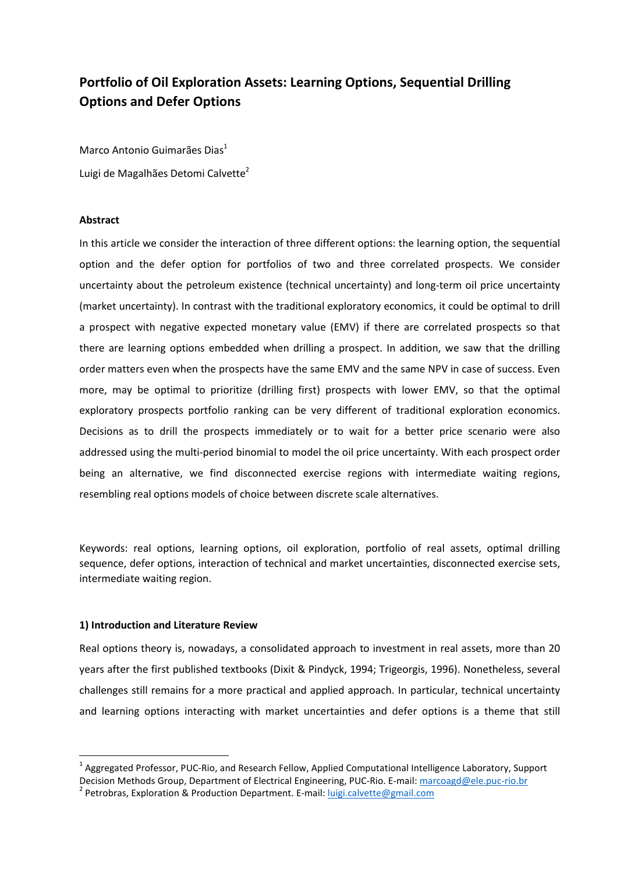# **Portfolio of Oil Exploration Assets: Learning Options, Sequential Drilling Options and Defer Options**

Marco Antonio Guimarães Dias<sup>1</sup> Luigi de Magalhães Detomi Calvette<sup>2</sup>

# **Abstract**

In this article we consider the interaction of three different options: the learning option, the sequential option and the defer option for portfolios of two and three correlated prospects. We consider uncertainty about the petroleum existence (technical uncertainty) and long-term oil price uncertainty (market uncertainty). In contrast with the traditional exploratory economics, it could be optimal to drill a prospect with negative expected monetary value (EMV) if there are correlated prospects so that there are learning options embedded when drilling a prospect. In addition, we saw that the drilling order matters even when the prospects have the same EMV and the same NPV in case of success. Even more, may be optimal to prioritize (drilling first) prospects with lower EMV, so that the optimal exploratory prospects portfolio ranking can be very different of traditional exploration economics. Decisions as to drill the prospects immediately or to wait for a better price scenario were also addressed using the multi-period binomial to model the oil price uncertainty. With each prospect order being an alternative, we find disconnected exercise regions with intermediate waiting regions, resembling real options models of choice between discrete scale alternatives.

Keywords: real options, learning options, oil exploration, portfolio of real assets, optimal drilling sequence, defer options, interaction of technical and market uncertainties, disconnected exercise sets, intermediate waiting region.

### **1) Introduction and Literature Review**

l

Real options theory is, nowadays, a consolidated approach to investment in real assets, more than 20 years after the first published textbooks (Dixit & Pindyck, 1994; Trigeorgis, 1996). Nonetheless, several challenges still remains for a more practical and applied approach. In particular, technical uncertainty and learning options interacting with market uncertainties and defer options is a theme that still

<sup>1</sup> Aggregated Professor, PUC-Rio, and Research Fellow, Applied Computational Intelligence Laboratory, Support Decision Methods Group, Department of Electrical Engineering, PUC-Rio. E-mail: marcoagd@ele.puc-rio.br

<sup>&</sup>lt;sup>2</sup> Petrobras, Exploration & Production Department. E-mail: <u>luigi.calvette@gmail.com</u>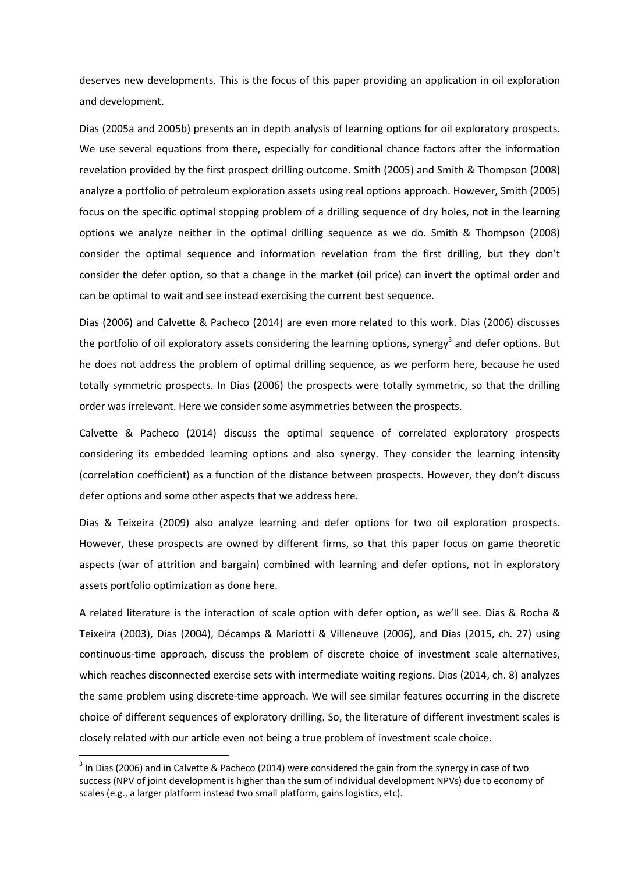deserves new developments. This is the focus of this paper providing an application in oil exploration and development.

Dias (2005a and 2005b) presents an in depth analysis of learning options for oil exploratory prospects. We use several equations from there, especially for conditional chance factors after the information revelation provided by the first prospect drilling outcome. Smith (2005) and Smith & Thompson (2008) analyze a portfolio of petroleum exploration assets using real options approach. However, Smith (2005) focus on the specific optimal stopping problem of a drilling sequence of dry holes, not in the learning options we analyze neither in the optimal drilling sequence as we do. Smith & Thompson (2008) consider the optimal sequence and information revelation from the first drilling, but they don't consider the defer option, so that a change in the market (oil price) can invert the optimal order and can be optimal to wait and see instead exercising the current best sequence.

Dias (2006) and Calvette & Pacheco (2014) are even more related to this work. Dias (2006) discusses the portfolio of oil exploratory assets considering the learning options, synergy<sup>3</sup> and defer options. But he does not address the problem of optimal drilling sequence, as we perform here, because he used totally symmetric prospects. In Dias (2006) the prospects were totally symmetric, so that the drilling order was irrelevant. Here we consider some asymmetries between the prospects.

Calvette & Pacheco (2014) discuss the optimal sequence of correlated exploratory prospects considering its embedded learning options and also synergy. They consider the learning intensity (correlation coefficient) as a function of the distance between prospects. However, they don't discuss defer options and some other aspects that we address here.

Dias & Teixeira (2009) also analyze learning and defer options for two oil exploration prospects. However, these prospects are owned by different firms, so that this paper focus on game theoretic aspects (war of attrition and bargain) combined with learning and defer options, not in exploratory assets portfolio optimization as done here.

A related literature is the interaction of scale option with defer option, as we'll see. Dias & Rocha & Teixeira (2003), Dias (2004), Décamps & Mariotti & Villeneuve (2006), and Dias (2015, ch. 27) using continuous-time approach, discuss the problem of discrete choice of investment scale alternatives, which reaches disconnected exercise sets with intermediate waiting regions. Dias (2014, ch. 8) analyzes the same problem using discrete-time approach. We will see similar features occurring in the discrete choice of different sequences of exploratory drilling. So, the literature of different investment scales is closely related with our article even not being a true problem of investment scale choice.

l

<sup>&</sup>lt;sup>3</sup> In Dias (2006) and in Calvette & Pacheco (2014) were considered the gain from the synergy in case of two success (NPV of joint development is higher than the sum of individual development NPVs) due to economy of scales (e.g., a larger platform instead two small platform, gains logistics, etc).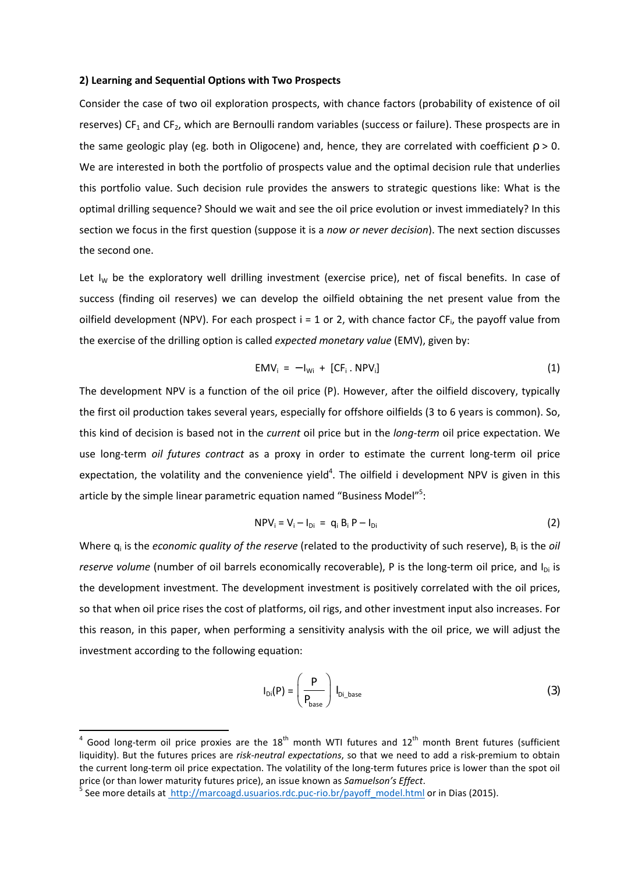#### **2) Learning and Sequential Options with Two Prospects**

Consider the case of two oil exploration prospects, with chance factors (probability of existence of oil reserves)  $CF_1$  and  $CF_2$ , which are Bernoulli random variables (success or failure). These prospects are in the same geologic play (eg. both in Oligocene) and, hence, they are correlated with coefficient  $p > 0$ . We are interested in both the portfolio of prospects value and the optimal decision rule that underlies this portfolio value. Such decision rule provides the answers to strategic questions like: What is the optimal drilling sequence? Should we wait and see the oil price evolution or invest immediately? In this section we focus in the first question (suppose it is a *now or never decision*). The next section discusses the second one.

Let  $I_W$  be the exploratory well drilling investment (exercise price), net of fiscal benefits. In case of success (finding oil reserves) we can develop the oilfield obtaining the net present value from the oilfield development (NPV). For each prospect  $i = 1$  or 2, with chance factor CF<sub>i</sub>, the payoff value from the exercise of the drilling option is called *expected monetary value* (EMV), given by:

$$
EMV_i = -I_{Wi} + [CF_i . NPV_i]
$$
 (1)

The development NPV is a function of the oil price (P). However, after the oilfield discovery, typically the first oil production takes several years, especially for offshore oilfields (3 to 6 years is common). So, this kind of decision is based not in the *current* oil price but in the *long-term* oil price expectation. We use long-term *oil futures contract* as a proxy in order to estimate the current long-term oil price expectation, the volatility and the convenience yield<sup>4</sup>. The oilfield i development NPV is given in this article by the simple linear parametric equation named "Business Model"<sup>5</sup>:

$$
NPV_i = V_i - I_{Di} = q_i B_i P - I_{Di}
$$
 (2)

Where q<sub>i</sub> is the *economic quality of the reserve* (related to the productivity of such reserve), B<sub>i</sub> is the oil *reserve volume* (number of oil barrels economically recoverable), P is the long-term oil price, and I<sub>Di</sub> is the development investment. The development investment is positively correlated with the oil prices, so that when oil price rises the cost of platforms, oil rigs, and other investment input also increases. For this reason, in this paper, when performing a sensitivity analysis with the oil price, we will adjust the investment according to the following equation:

$$
I_{Di}(P) = \left(\frac{P}{P_{base}}\right) I_{Di\_base}
$$
 (3)

ence and the section of the section of the section of the section of the section of the section of the section of the section of the section of the section of the section of the section of the section of the section of the liquidity). But the futures prices are *risk-neutral expectations*, so that we need to add a risk-premium to obtain the current long-term oil price expectation. The volatility of the long-term futures price is lower than the spot oil price (or than lower maturity futures price), an issue known as *Samuelson's Effect*.

<sup>&</sup>lt;sup>5</sup> See more details at **http://marcoagd.usuarios.rdc.puc-rio.br/payoff** model.html or in Dias (2015).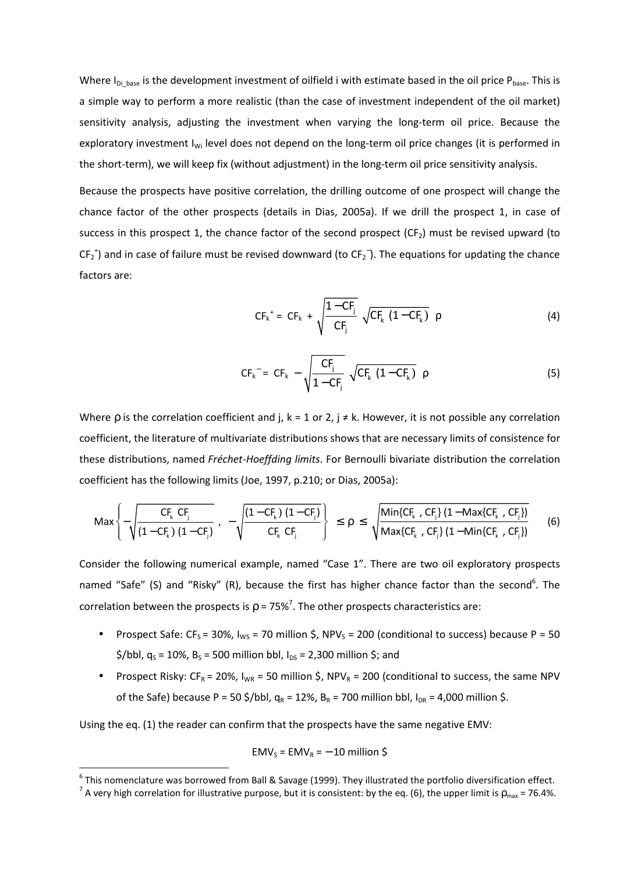Where  $I_{Di\ base}$  is the development investment of oilfield i with estimate based in the oil price  $P_{base}$ . This is a simple way to perform a more realistic (than the case of investment independent of the oil market) sensitivity analysis, adjusting the investment when varying the long-term oil price. Because the exploratory investment I<sub>Wi</sub> level does not depend on the long-term oil price changes (it is performed in the short-term), we will keep fix (without adjustment) in the long-term oil price sensitivity analysis.

Because the prospects have positive correlation, the drilling outcome of one prospect will change the chance factor of the other prospects (details in Dias, 2005a). If we drill the prospect 1, in case of success in this prospect 1, the chance factor of the second prospect  $(CF_2)$  must be revised upward (to  $CF_2^{\dagger}$ ) and in case of failure must be revised downward (to  $CF_2^-$ ). The equations for updating the chance factors are:

$$
CF_{k}^{+} = CF_{k} + \sqrt{\frac{1 - CF_{j}}{CF_{j}} \sqrt{CF_{k} (1 - CF_{k})}} \rho
$$
 (4)

$$
CF_{k}^{-} = CF_{k} - \sqrt{\frac{CF_{j}}{1 - CF_{j}}} \sqrt{CF_{k} (1 - CF_{k})} \rho
$$
\n(5)

Where p is the correlation coefficient and j,  $k = 1$  or 2,  $j \neq k$ . However, it is not possible any correlation coefficient, the literature of multivariate distributions shows that are necessary limits of consistence for these distributions, named *Fréchet-Hoeffding limits*. For Bernoulli bivariate distribution the correlation coefficient has the following limits (Joe, 1997, p.210; or Dias, 2005a):

$$
\mathsf{Max}\left\{-\sqrt{\frac{C F_k \;C F_j}{\left(1-C F_k\right)\left(1-C F_j\right)}} \right. \right. \left. -\sqrt{\frac{\left(1-C F_k\right)\left(1-C F_j\right)}{C F_k \;C F_j}}\right\} \\ \nonumber \leq \rho \leq \sqrt{\frac{\mathsf{Min}\{C F_k \; ,C F_j\}\left(1-\mathsf{Max}\{C F_k \; ,C F_j\}\right)}{\mathsf{Max}\{C F_k \; ,C F_j\}\left(1-\mathsf{Min}\{C F_k \; ,C F_j\}\right)}} \hspace{3mm} (6)
$$

Consider the following numerical example, named "Case 1". There are two oil exploratory prospects named "Safe" (S) and "Risky" (R), because the first has higher chance factor than the second<sup>6</sup>. The correlation between the prospects is  $\rho$  = 75%<sup>7</sup>. The other prospects characteristics are:

- Prospect Safe: CF<sub>S</sub> = 30%, I<sub>WS</sub> = 70 million \$, NPV<sub>S</sub> = 200 (conditional to success) because P = 50  $\frac{\xi}{b}$  /bbl, q<sub>s</sub> = 10%, B<sub>s</sub> = 500 million bbl, I<sub>ps</sub> = 2,300 million \$; and
- Prospect Risky:  $CF_R = 20\%$ ,  $I_{WR} = 50$  million \$, NPV<sub>R</sub> = 200 (conditional to success, the same NPV of the Safe) because P = 50 \$/bbl,  $q_R = 12\%$ ,  $B_R = 700$  million bbl,  $I_{DR} = 4,000$  million \$.

Using the eq. (1) the reader can confirm that the prospects have the same negative EMV:

 $\overline{\phantom{0}}$ 

$$
EMV_s = EMV_R = -10
$$
 million \$

 $^6$  This nomenclature was borrowed from Ball & Savage (1999). They illustrated the portfolio diversification effect.

<sup>&</sup>lt;sup>7</sup> A very high correlation for illustrative purpose, but it is consistent: by the eq. (6), the upper limit is  $\rho_{\rm max}$  = 76.4%.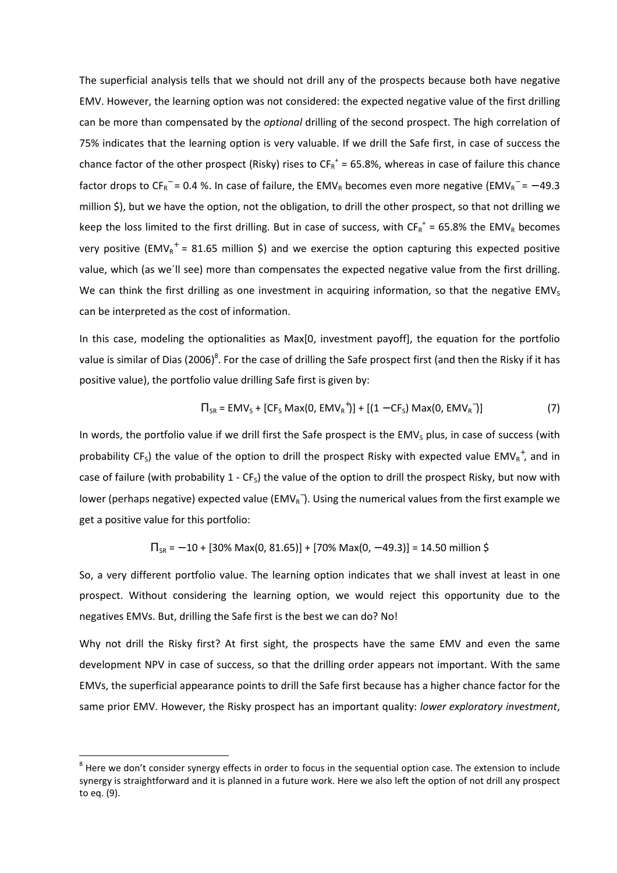The superficial analysis tells that we should not drill any of the prospects because both have negative EMV. However, the learning option was not considered: the expected negative value of the first drilling can be more than compensated by the *optional* drilling of the second prospect. The high correlation of 75% indicates that the learning option is very valuable. If we drill the Safe first, in case of success the chance factor of the other prospect (Risky) rises to  $CF_R^*$  = 65.8%, whereas in case of failure this chance factor drops to CF<sub>R</sub><sup>-</sup> = 0.4 %. In case of failure, the EMV<sub>R</sub> becomes even more negative (EMV<sub>R</sub><sup>-</sup> = - 49.3 million \$), but we have the option, not the obligation, to drill the other prospect, so that not drilling we keep the loss limited to the first drilling. But in case of success, with  $CF_R^+$  = 65.8% the EMV<sub>R</sub> becomes very positive (EMV<sub>R</sub><sup>+</sup> = 81.65 million \$) and we exercise the option capturing this expected positive value, which (as we´ll see) more than compensates the expected negative value from the first drilling. We can think the first drilling as one investment in acquiring information, so that the negative  $EMV<sub>s</sub>$ can be interpreted as the cost of information.

In this case, modeling the optionalities as Max[0, investment payoff], the equation for the portfolio value is similar of Dias (2006)<sup>8</sup>. For the case of drilling the Safe prospect first (and then the Risky if it has positive value), the portfolio value drilling Safe first is given by:

$$
\Pi_{SR} = EMV_S + [CF_S Max(0, EMV_R^+)] + [(1 - CF_S) Max(0, EMV_R^-)]
$$
\n(7)

In words, the portfolio value if we drill first the Safe prospect is the EMV<sub>s</sub> plus, in case of success (with probability CF<sub>S</sub>) the value of the option to drill the prospect Risky with expected value EMV<sub>R</sub><sup>+</sup>, and in case of failure (with probability  $1 - CF_5$ ) the value of the option to drill the prospect Risky, but now with lower (perhaps negative) expected value (EMV<sub>R</sub><sup>-</sup>). Using the numerical values from the first example we get a positive value for this portfolio:

$$
\Pi_{SR} = -10 + [30\% \text{ Max}(0, 81.65)] + [70\% \text{ Max}(0, -49.3)] = 14.50 \text{ million } \$
$$

So, a very different portfolio value. The learning option indicates that we shall invest at least in one prospect. Without considering the learning option, we would reject this opportunity due to the negatives EMVs. But, drilling the Safe first is the best we can do? No!

Why not drill the Risky first? At first sight, the prospects have the same EMV and even the same development NPV in case of success, so that the drilling order appears not important. With the same EMVs, the superficial appearance points to drill the Safe first because has a higher chance factor for the same prior EMV. However, the Risky prospect has an important quality: *lower exploratory investment*,

 $\overline{a}$ 

<sup>8</sup> Here we don't consider synergy effects in order to focus in the sequential option case. The extension to include synergy is straightforward and it is planned in a future work. Here we also left the option of not drill any prospect to eq. (9).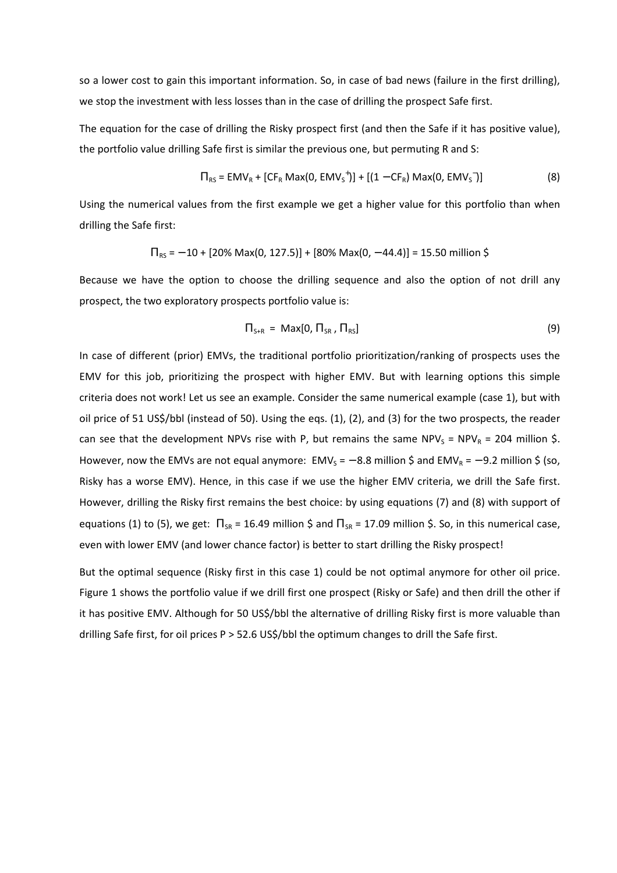so a lower cost to gain this important information. So, in case of bad news (failure in the first drilling), we stop the investment with less losses than in the case of drilling the prospect Safe first.

The equation for the case of drilling the Risky prospect first (and then the Safe if it has positive value), the portfolio value drilling Safe first is similar the previous one, but permuting R and S:

$$
\Pi_{RS} = EMV_R + [CF_R Max(0, EMV_S^+)] + [(1 - CF_R) Max(0, EMV_S^-)]
$$
 (8)

Using the numerical values from the first example we get a higher value for this portfolio than when drilling the Safe first:

$$
\Pi_{RS} = -10 + [20\% \text{ Max}(0, 127.5)] + [80\% \text{ Max}(0, -44.4)] = 15.50 \text{ million } \$
$$

Because we have the option to choose the drilling sequence and also the option of not drill any prospect, the two exploratory prospects portfolio value is:

$$
\Pi_{\text{S+R}} = \text{Max}[0, \Pi_{\text{SR}}, \Pi_{\text{RS}}]
$$
\n(9)

In case of different (prior) EMVs, the traditional portfolio prioritization/ranking of prospects uses the EMV for this job, prioritizing the prospect with higher EMV. But with learning options this simple criteria does not work! Let us see an example. Consider the same numerical example (case 1), but with oil price of 51 US\$/bbl (instead of 50). Using the eqs. (1), (2), and (3) for the two prospects, the reader can see that the development NPVs rise with P, but remains the same NPV<sub>s</sub> = NPV<sub>R</sub> = 204 million \$. However, now the EMVs are not equal anymore: EMV<sub>S</sub> =  $-$  8.8 million \$ and EMV<sub>R</sub> =  $-$  9.2 million \$ (so, Risky has a worse EMV). Hence, in this case if we use the higher EMV criteria, we drill the Safe first. However, drilling the Risky first remains the best choice: by using equations (7) and (8) with support of equations (1) to (5), we get:  $\Pi_{SR}$  = 16.49 million \$ and  $\Pi_{SR}$  = 17.09 million \$. So, in this numerical case, even with lower EMV (and lower chance factor) is better to start drilling the Risky prospect!

But the optimal sequence (Risky first in this case 1) could be not optimal anymore for other oil price. Figure 1 shows the portfolio value if we drill first one prospect (Risky or Safe) and then drill the other if it has positive EMV. Although for 50 US\$/bbl the alternative of drilling Risky first is more valuable than drilling Safe first, for oil prices P > 52.6 US\$/bbl the optimum changes to drill the Safe first.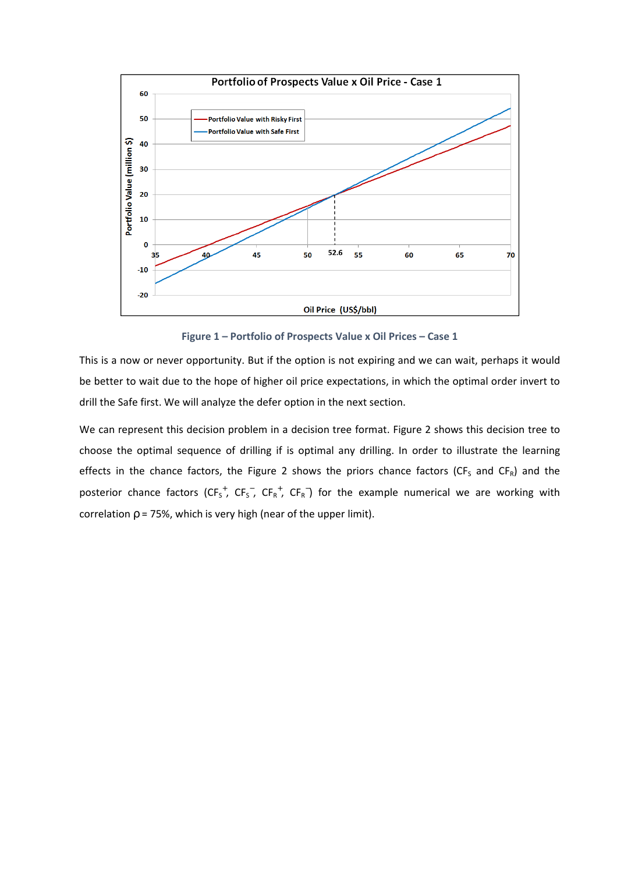

**Figure 1 – Portfolio of Prospects Value x Oil Prices – Case 1** 

This is a now or never opportunity. But if the option is not expiring and we can wait, perhaps it would be better to wait due to the hope of higher oil price expectations, in which the optimal order invert to drill the Safe first. We will analyze the defer option in the next section.

We can represent this decision problem in a decision tree format. Figure 2 shows this decision tree to choose the optimal sequence of drilling if is optimal any drilling. In order to illustrate the learning effects in the chance factors, the Figure 2 shows the priors chance factors (CF<sub>S</sub> and CF<sub>R</sub>) and the posterior chance factors (CF<sub>S</sub><sup>+</sup>, CF<sub>S</sub><sup>-</sup>, CF<sub>R</sub><sup>+</sup>, CF<sub>R</sub><sup>-</sup>) for the example numerical we are working with correlation  $p = 75%$ , which is very high (near of the upper limit).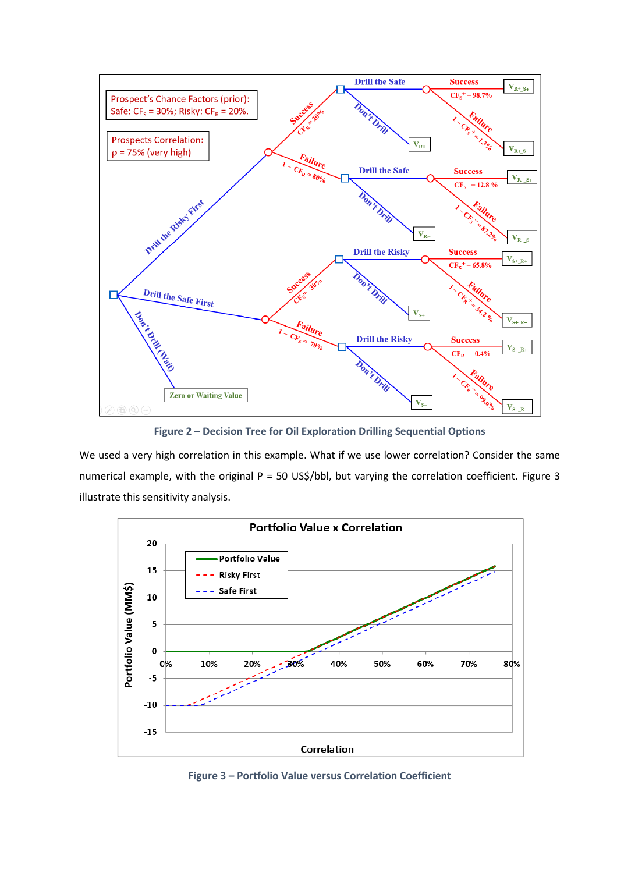

**Figure 2 – Decision Tree for Oil Exploration Drilling Sequential Options** 

We used a very high correlation in this example. What if we use lower correlation? Consider the same numerical example, with the original P = 50 US\$/bbl, but varying the correlation coefficient. Figure 3 illustrate this sensitivity analysis.



**Figure 3 – Portfolio Value versus Correlation Coefficient**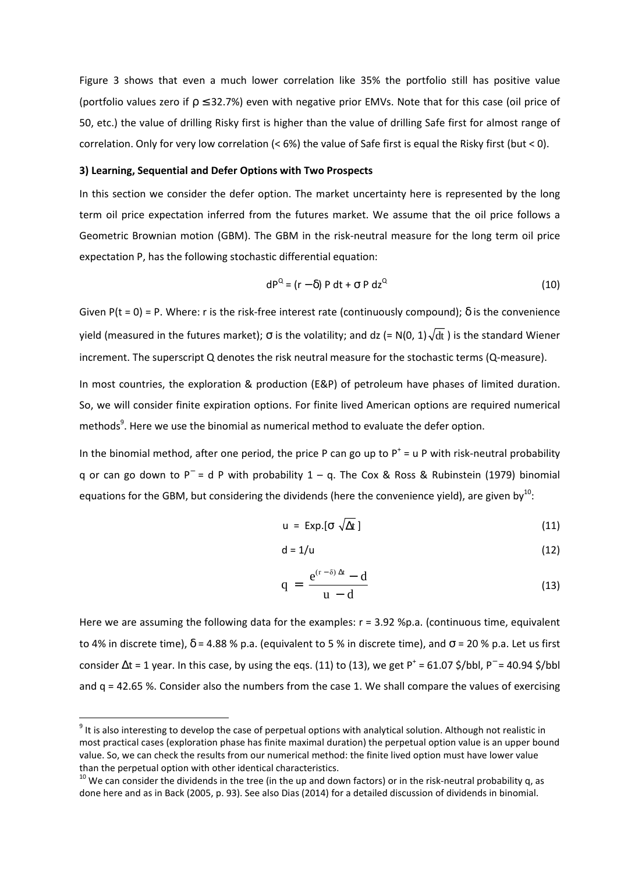Figure 3 shows that even a much lower correlation like 35% the portfolio still has positive value (portfolio values zero if  $p \leq 32.7\%$ ) even with negative prior EMVs. Note that for this case (oil price of 50, etc.) the value of drilling Risky first is higher than the value of drilling Safe first for almost range of correlation. Only for very low correlation (< 6%) the value of Safe first is equal the Risky first (but < 0).

#### **3) Learning, Sequential and Defer Options with Two Prospects**

In this section we consider the defer option. The market uncertainty here is represented by the long term oil price expectation inferred from the futures market. We assume that the oil price follows a Geometric Brownian motion (GBM). The GBM in the risk-neutral measure for the long term oil price expectation P, has the following stochastic differential equation:

$$
dP^Q = (r - \delta) P dt + \sigma P dz^Q
$$
 (10)

Given P(t = 0) = P. Where: r is the risk-free interest rate (continuously compound);  $\delta$  is the convenience yield (measured in the futures market);  $\sigma$  is the volatility; and dz (= N(0, 1) $\sqrt{\mathrm{dt}}$  ) is the standard Wiener increment. The superscript Q denotes the risk neutral measure for the stochastic terms (Q-measure).

In most countries, the exploration & production (E&P) of petroleum have phases of limited duration. So, we will consider finite expiration options. For finite lived American options are required numerical methods $9$ . Here we use the binomial as numerical method to evaluate the defer option.

In the binomial method, after one period, the price P can go up to  $P^+$  = u P with risk-neutral probability q or can go down to P<sup>−</sup> = d P with probability 1 – q. The Cox & Ross & Rubinstein (1979) binomial equations for the GBM, but considering the dividends (here the convenience yield), are given by<sup>10</sup>:

$$
u = Exp.[\sigma \sqrt{\Delta t}] \qquad (11)
$$

$$
d = 1/u \tag{12}
$$

$$
q = \frac{e^{(r-\delta)\Delta t} - d}{u - d} \tag{13}
$$

Here we are assuming the following data for the examples:  $r = 3.92$  %p.a. (continuous time, equivalent to 4% in discrete time),  $\delta$  = 4.88 % p.a. (equivalent to 5 % in discrete time), and  $\sigma$  = 20 % p.a. Let us first consider  $\Delta t$  = 1 year. In this case, by using the eqs. (11) to (13), we get P<sup>+</sup> = 61.07 \$/bbl, P<sup>-</sup> = 40.94 \$/bbl and  $q = 42.65$  %. Consider also the numbers from the case 1. We shall compare the values of exercising

 $\overline{\phantom{0}}$ 

 $9$  It is also interesting to develop the case of perpetual options with analytical solution. Although not realistic in most practical cases (exploration phase has finite maximal duration) the perpetual option value is an upper bound value. So, we can check the results from our numerical method: the finite lived option must have lower value than the perpetual option with other identical characteristics.

 $10$  We can consider the dividends in the tree (in the up and down factors) or in the risk-neutral probability q, as done here and as in Back (2005, p. 93). See also Dias (2014) for a detailed discussion of dividends in binomial.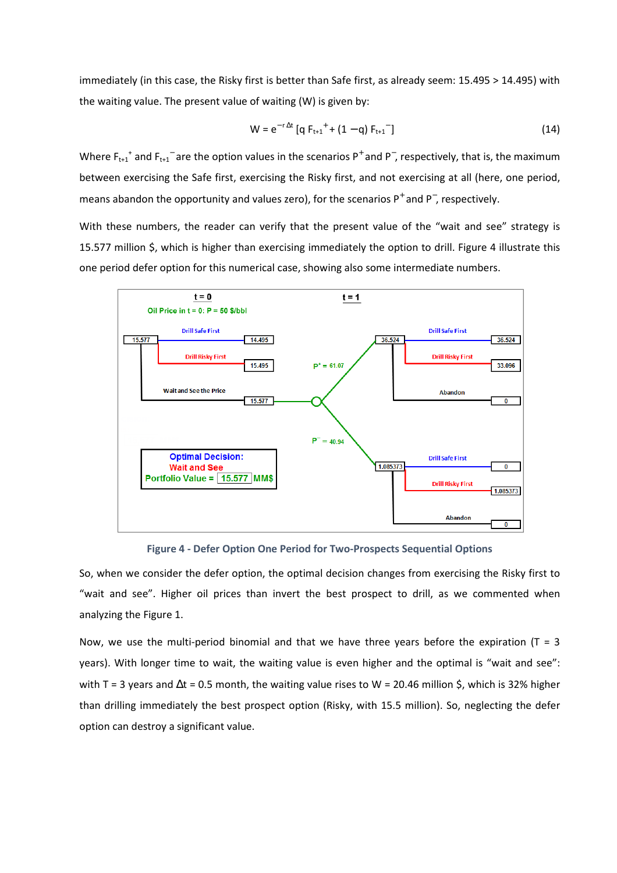immediately (in this case, the Risky first is better than Safe first, as already seem: 15.495 > 14.495) with the waiting value. The present value of waiting (W) is given by:

$$
W = e^{-r \Delta t} [q F_{t+1}^+ + (1-q) F_{t+1}^-]
$$
\n(14)

Where  $F_{t+1}$ <sup>+</sup> and  $F_{t+1}$ <sup>-</sup> are the option values in the scenarios P<sup>+</sup> and P<sup>-</sup>, respectively, that is, the maximum between exercising the Safe first, exercising the Risky first, and not exercising at all (here, one period, means abandon the opportunity and values zero), for the scenarios  $P^+$  and  $P^-$ , respectively.

With these numbers, the reader can verify that the present value of the "wait and see" strategy is 15.577 million \$, which is higher than exercising immediately the option to drill. Figure 4 illustrate this one period defer option for this numerical case, showing also some intermediate numbers.



**Figure 4 - Defer Option One Period for Two-Prospects Sequential Options** 

So, when we consider the defer option, the optimal decision changes from exercising the Risky first to "wait and see". Higher oil prices than invert the best prospect to drill, as we commented when analyzing the Figure 1.

Now, we use the multi-period binomial and that we have three years before the expiration ( $T = 3$ ) years). With longer time to wait, the waiting value is even higher and the optimal is "wait and see": with T = 3 years and  $\Delta t$  = 0.5 month, the waiting value rises to W = 20.46 million \$, which is 32% higher than drilling immediately the best prospect option (Risky, with 15.5 million). So, neglecting the defer option can destroy a significant value.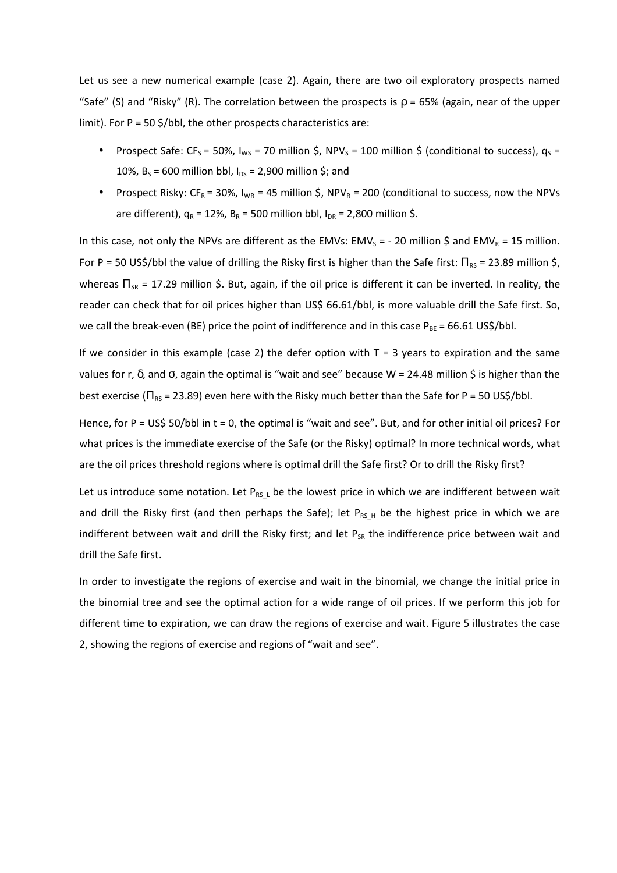Let us see a new numerical example (case 2). Again, there are two oil exploratory prospects named "Safe" (S) and "Risky" (R). The correlation between the prospects is  $\rho = 65%$  (again, near of the upper limit). For  $P = 50 \frac{\xi}{b}$ , the other prospects characteristics are:

- Prospect Safe: CF<sub>S</sub> = 50%,  $I_{WS}$  = 70 million \$, NPV<sub>S</sub> = 100 million \$ (conditional to success),  $q_S$  = 10%,  $B_s = 600$  million bbl,  $I_{DS} = 2,900$  million \$; and
- Prospect Risky:  $CF_R = 30\%$ ,  $I_{WR} = 45$  million \$, NPV<sub>R</sub> = 200 (conditional to success, now the NPVs are different),  $q_R = 12\%$ ,  $B_R = 500$  million bbl,  $I_{DR} = 2,800$  million \$.

In this case, not only the NPVs are different as the EMVs: EMV<sub>s</sub> = - 20 million \$ and EMV<sub>R</sub> = 15 million. For P = 50 US\$/bbl the value of drilling the Risky first is higher than the Safe first:  $\Pi_{RS}$  = 23.89 million \$, whereas  $\Pi_{SR}$  = 17.29 million \$. But, again, if the oil price is different it can be inverted. In reality, the reader can check that for oil prices higher than US\$ 66.61/bbl, is more valuable drill the Safe first. So, we call the break-even (BE) price the point of indifference and in this case  $P_{BE} = 66.61$  US\$/bbl.

If we consider in this example (case 2) the defer option with  $T = 3$  years to expiration and the same values for r,  $\delta$ , and σ, again the optimal is "wait and see" because W = 24.48 million \$ is higher than the best exercise ( $\Pi_{RS}$  = 23.89) even here with the Risky much better than the Safe for P = 50 US\$/bbl.

Hence, for P = US\$ 50/bbl in t = 0, the optimal is "wait and see". But, and for other initial oil prices? For what prices is the immediate exercise of the Safe (or the Risky) optimal? In more technical words, what are the oil prices threshold regions where is optimal drill the Safe first? Or to drill the Risky first?

Let us introduce some notation. Let  $P_{RS_L}$  be the lowest price in which we are indifferent between wait and drill the Risky first (and then perhaps the Safe); let  $P_{RS,H}$  be the highest price in which we are indifferent between wait and drill the Risky first; and let  $P_{SR}$  the indifference price between wait and drill the Safe first.

In order to investigate the regions of exercise and wait in the binomial, we change the initial price in the binomial tree and see the optimal action for a wide range of oil prices. If we perform this job for different time to expiration, we can draw the regions of exercise and wait. Figure 5 illustrates the case 2, showing the regions of exercise and regions of "wait and see".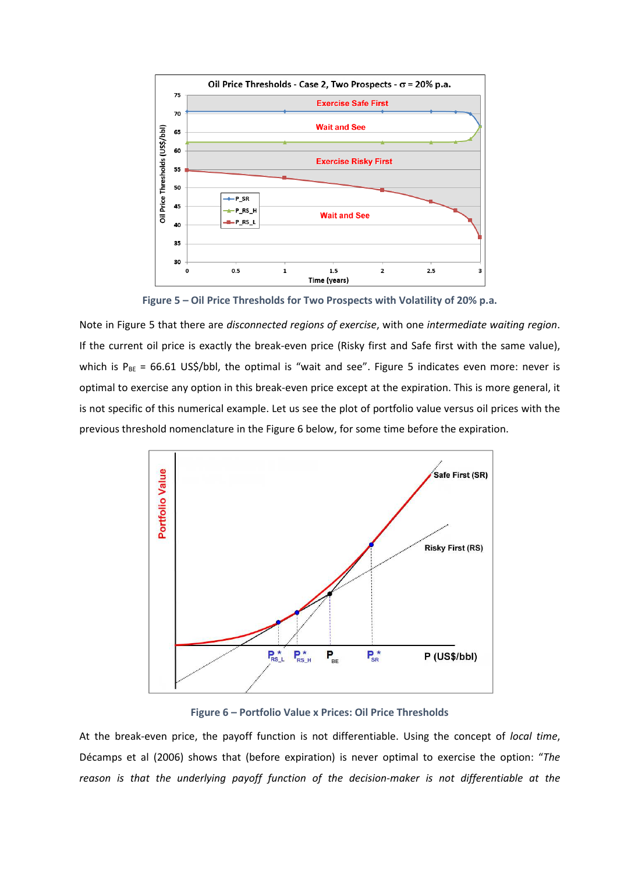

**Figure 5 – Oil Price Thresholds for Two Prospects with Volatility of 20% p.a.** 

Note in Figure 5 that there are *disconnected regions of exercise*, with one *intermediate waiting region*. If the current oil price is exactly the break-even price (Risky first and Safe first with the same value), which is  $P_{BE} = 66.61$  US\$/bbl, the optimal is "wait and see". Figure 5 indicates even more: never is optimal to exercise any option in this break-even price except at the expiration. This is more general, it is not specific of this numerical example. Let us see the plot of portfolio value versus oil prices with the previous threshold nomenclature in the Figure 6 below, for some time before the expiration.



**Figure 6 – Portfolio Value x Prices: Oil Price Thresholds** 

At the break-even price, the payoff function is not differentiable. Using the concept of *local time*, Décamps et al (2006) shows that (before expiration) is never optimal to exercise the option: "*The reason is that the underlying payoff function of the decision-maker is not differentiable at the*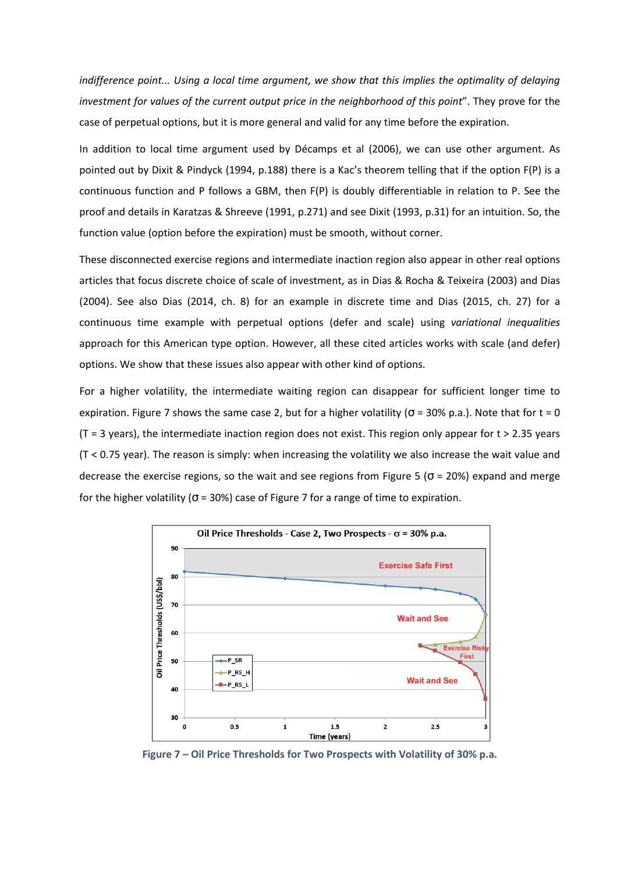*indifference point... Using a local time argument, we show that this implies the optimality of delaying investment for values of the current output price in the neighborhood of this point*". They prove for the case of perpetual options, but it is more general and valid for any time before the expiration.

In addition to local time argument used by Décamps et al (2006), we can use other argument. As pointed out by Dixit & Pindyck (1994, p.188) there is a Kac's theorem telling that if the option F(P) is a continuous function and P follows a GBM, then F(P) is doubly differentiable in relation to P. See the proof and details in Karatzas & Shreeve (1991, p.271) and see Dixit (1993, p.31) for an intuition. So, the function value (option before the expiration) must be smooth, without corner.

These disconnected exercise regions and intermediate inaction region also appear in other real options articles that focus discrete choice of scale of investment, as in Dias & Rocha & Teixeira (2003) and Dias (2004). See also Dias (2014, ch. 8) for an example in discrete time and Dias (2015, ch. 27) for a continuous time example with perpetual options (defer and scale) using *variational inequalities* approach for this American type option. However, all these cited articles works with scale (and defer) options. We show that these issues also appear with other kind of options.

For a higher volatility, the intermediate waiting region can disappear for sufficient longer time to expiration. Figure 7 shows the same case 2, but for a higher volatility ( $\sigma$  = 30% p.a.). Note that for t = 0  $(T = 3 \text{ years})$ , the intermediate inaction region does not exist. This region only appear for  $t > 2.35$  years (T < 0.75 year). The reason is simply: when increasing the volatility we also increase the wait value and decrease the exercise regions, so the wait and see regions from Figure 5 ( $\sigma$  = 20%) expand and merge for the higher volatility ( $\sigma$  = 30%) case of Figure 7 for a range of time to expiration.



**Figure 7 – Oil Price Thresholds for Two Prospects with Volatility of 30% p.a.**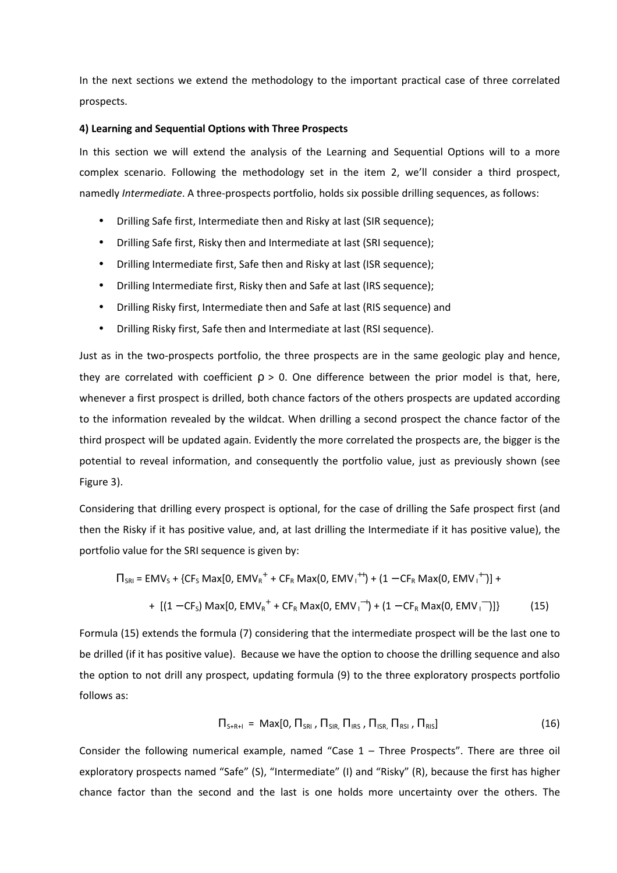In the next sections we extend the methodology to the important practical case of three correlated prospects.

#### **4) Learning and Sequential Options with Three Prospects**

In this section we will extend the analysis of the Learning and Sequential Options will to a more complex scenario. Following the methodology set in the item 2, we'll consider a third prospect, namedly *Intermediate*. A three-prospects portfolio, holds six possible drilling sequences, as follows:

- Drilling Safe first, Intermediate then and Risky at last (SIR sequence);
- Drilling Safe first, Risky then and Intermediate at last (SRI sequence);
- Drilling Intermediate first, Safe then and Risky at last (ISR sequence);
- Drilling Intermediate first, Risky then and Safe at last (IRS sequence);
- Drilling Risky first, Intermediate then and Safe at last (RIS sequence) and
- Drilling Risky first, Safe then and Intermediate at last (RSI sequence).

Just as in the two-prospects portfolio, the three prospects are in the same geologic play and hence, they are correlated with coefficient  $p > 0$ . One difference between the prior model is that, here, whenever a first prospect is drilled, both chance factors of the others prospects are updated according to the information revealed by the wildcat. When drilling a second prospect the chance factor of the third prospect will be updated again. Evidently the more correlated the prospects are, the bigger is the potential to reveal information, and consequently the portfolio value, just as previously shown (see Figure 3).

Considering that drilling every prospect is optional, for the case of drilling the Safe prospect first (and then the Risky if it has positive value, and, at last drilling the Intermediate if it has positive value), the portfolio value for the SRI sequence is given by:

$$
\Pi_{\text{SRI}} = \text{EMV}_{\text{S}} + \{ \text{CF}_{\text{S}} \text{ Max} [0, \text{EMV}_{\text{R}}^+ + \text{CF}_{\text{R}} \text{ Max} (0, \text{EMV}_{\text{I}}^{++}) + (1 - \text{CF}_{\text{R}} \text{ Max} (0, \text{EMV}_{\text{I}}^{+-}) ] +
$$
  
+ 
$$
[(1 - \text{CF}_{\text{S}}) \text{ Max} [0, \text{EMV}_{\text{R}}^+ + \text{CF}_{\text{R}} \text{ Max} (0, \text{EMV}_{\text{I}}^{-+}) + (1 - \text{CF}_{\text{R}} \text{ Max} (0, \text{EMV}_{\text{I}}^{-}) ] \}
$$
(15)

Formula (15) extends the formula (7) considering that the intermediate prospect will be the last one to be drilled (if it has positive value). Because we have the option to choose the drilling sequence and also the option to not drill any prospect, updating formula (9) to the three exploratory prospects portfolio follows as:

$$
\Pi_{\mathsf{S+R+I}} = \mathsf{Max}[0, \Pi_{\mathsf{SRI}}, \Pi_{\mathsf{SIR}}, \Pi_{\mathsf{IRS}}, \Pi_{\mathsf{ISR}}, \Pi_{\mathsf{RSI}}, \Pi_{\mathsf{RIS}}]
$$
(16)

Consider the following numerical example, named "Case 1 – Three Prospects". There are three oil exploratory prospects named "Safe" (S), "Intermediate" (I) and "Risky" (R), because the first has higher chance factor than the second and the last is one holds more uncertainty over the others. The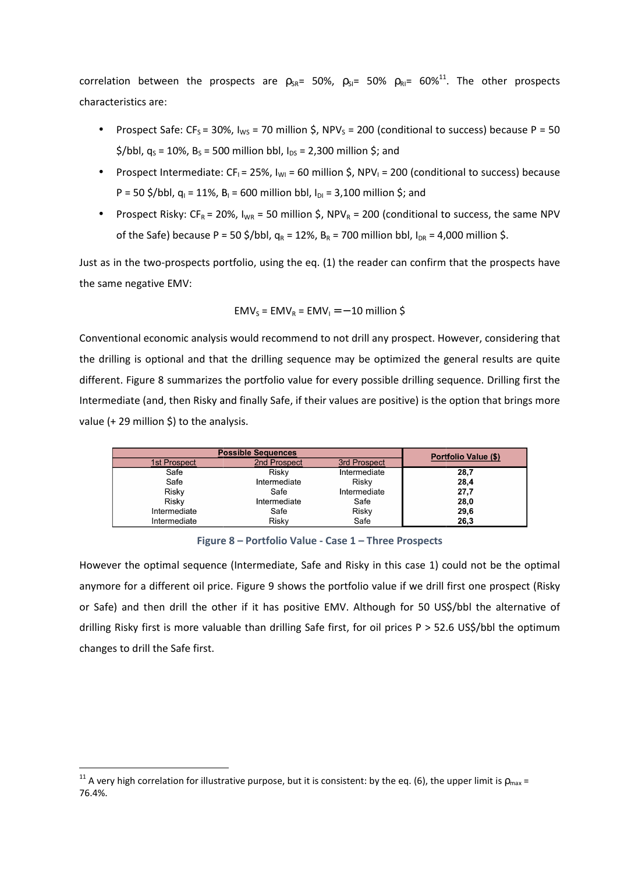correlation between the prospects are  $\rho_{SR}$ = 50%,  $\rho_{SI}$ = 50%  $\rho_{RI}$ = 60%<sup>11</sup> characteristics are:

- Prospect Safe: CF<sub>S</sub> = 30%,  $I_{WS}$  = 70 million \$, NPV<sub>S</sub> = 200 (conditional to success) because P = 50  $\frac{\epsilon}{\pi}$ /bbl, q<sub>s</sub> = 10%, B<sub>s</sub> = 500 million bbl, I<sub>DS</sub> = 2,300 million \$; and
- Prospect Intermediate: CF<sub>I</sub> = 25%, I<sub>WI</sub> = 60 million \$, NPV<sub>I</sub> = 200 (conditional to success) because P = 50 \$/bbl,  $q_1 = 11\%$ ,  $B_1 = 600$  million bbl,  $I_{DI} = 3,100$  million \$; and
- Prospect Risky: CF<sub>R</sub> = 20%,  $I_{WR}$  = 50 million \$, NPV<sub>R</sub> = 200 (conditional to success, the same NPV of the Safe) because P = 50 \$/bbl,  $q_R = 12\%$ ,  $B_R = 700$  million bbl,  $I_{DR} = 4,000$  million \$.

Just as in the two-prospects portfolio, using the eq. (1) the reader can confirm that the prospects have the same negative EMV:

$$
EMV_s = EMV_R = EMV_l = -10
$$
 million \$

Conventional economic analysis would recommend to not drill any prospect. However, considering that the drilling is optional and that the drilling sequence may be optimized the general re different. Figure 8 summarizes the portfolio value for every possible drilling sequence. Drilling first the Intermediate (and, then Risky and finally Safe, if their values are positive) is the option that brings more value (+ 29 million \$) to the analysis. ing the eq. (1) the reader can confirm that the prospects have<br>  $EMV_R = EMV_I = -10$  million \$<br>
commend to not drill any prospect. However, considering that<br>
ing sequence may be optimized the general results are quite

|                                                                                                |                                                       |                     | nt. Figure 8 summarizes the portfolio value for every possible drilling sequence. Drilling fi     |
|------------------------------------------------------------------------------------------------|-------------------------------------------------------|---------------------|---------------------------------------------------------------------------------------------------|
|                                                                                                |                                                       |                     | ediate (and, then Risky and finally Safe, if their values are positive) is the option that brings |
| + 29 million \$) to the analysis.                                                              |                                                       |                     |                                                                                                   |
|                                                                                                |                                                       |                     |                                                                                                   |
| <b>Possible Sequences</b>                                                                      |                                                       |                     | Portfolio Value (\$)                                                                              |
| 1st Prospect                                                                                   | 2nd Prospect                                          | <b>3rd Prospect</b> |                                                                                                   |
| Safe                                                                                           | Risky                                                 | Intermediate        | 28,7                                                                                              |
| Safe                                                                                           | Intermediate                                          | Risky               | 28,4                                                                                              |
| Risky                                                                                          | Safe                                                  | Intermediate        | 27,7                                                                                              |
| Risky                                                                                          | Intermediate                                          | Safe                | 28,0                                                                                              |
| Intermediate                                                                                   | Safe                                                  | Risky               | 29,6                                                                                              |
| Intermediate                                                                                   | Risky                                                 | Safe                | 26,3                                                                                              |
|                                                                                                | Figure 8 - Portfolio Value - Case 1 - Three Prospects |                     | er the optimal sequence (Intermediate, Safe and Risky in this case 1) could not be the o          |
|                                                                                                |                                                       |                     |                                                                                                   |
|                                                                                                |                                                       |                     | re for a different oil price. Figure 9 shows the portfolio value if we drill first one prospect   |
|                                                                                                |                                                       |                     | e) and then drill the other if it has positive EMV. Although for 50 US\$/bbl the alternat         |
| Risky first is more valuable than drilling Safe first, for oil prices P > 52.6 US\$/bbl the op |                                                       |                     |                                                                                                   |

**Figure 8 – Portfolio Value - Case 1 – Three Prospects**

However the optimal sequence (Intermediate, Safe and Risky in this case 1) could not be the optimal anymore for a different oil price. Figure 9 shows the portfolio value if we drill first one prospect (Risky or Safe) and then drill the other if it has positive EMV. Although for 50 US\$/bbl the alternative of drilling Risky first is more valuable than drilling Safe first, for oil prices P > 52.6 US\$/bbl the optimum changes to drill the Safe first. n the prospects are  $p_{24} = 50\%$ ,  $p_{34} = 50\%$   $p_{45} = 60\%$ <sup>-1</sup>. The other prospects<br>  $\text{Re}(5\% = 30\%$ ,  $b_{N4} = 70$  million  $5$ ,  $\text{NPV}_4 = 200$  (conditional to success) because  $P = 50$ <br>  $\text{S}, \text{B}, \text{t} = 50$  million bb

 $\overline{\phantom{0}}$ 

 $\overline{\phantom{0}}$ 

<sup>&</sup>lt;sup>11</sup> A very high correlation for illustrative purpose, but it is consistent: by the eq. (6), the upper limit is  $\rho_{\sf max}$  = 76.4%.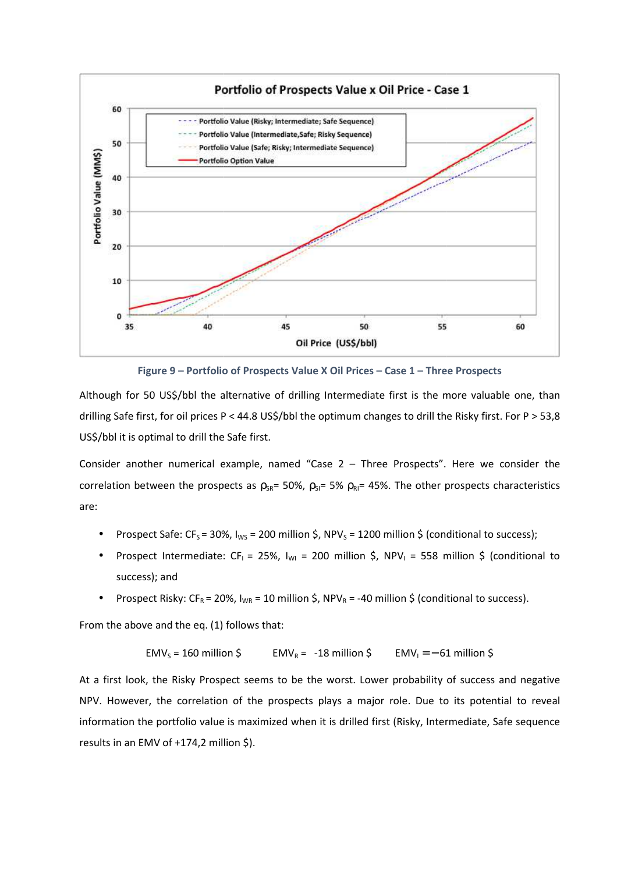

Figure 9 - Portfolio of Prospects Value X Oil Prices - Case 1 - Three Prospects

Although for 50 US\$/bbl the alternative of drilling Intermediate first is the more valuable one, than drilling Safe first, for oil prices P < 44.8 US\$/bbl the optimum changes to drill the Risky first. For P > 53,8 US\$/bbl it is optimal to drill the Safe first.

Consider another numerical example, named "Case 2 – Three Prospects". Here we consider the correlation between the prospects as  $\rho_{SR} = 50\%$ ,  $\rho_{SI} = 5\%$   $\rho_{RI} = 45\%$ . The other prospects characteristics<br>
• Prospect Safe: CF<sub>S</sub> = 30%, I<sub>WS</sub> = 200 million \$, NPV<sub>S</sub> = 1200 million \$ (conditional to success);<br> are:

- Prospect Safe: CF<sub>S</sub> = 30%,  $I_{WS}$  = 200 million \$, NPV<sub>S</sub> = 1200 million \$ (conditional to success);
- Prospect Intermediate: CF<sub>I</sub> = 25%, I<sub>WI</sub> = 200 million \$, NPV<sub>I</sub> = 558 million \$ success); and
- Prospect Risky:  $CF_R = 20\%$ ,  $I_{WR} = 10$  million \$, NPV<sub>R</sub> = -40 million \$ (conditional to success).

From the above and the eq. (1) follows that:

$$
EMV_s = 160 \text{ million } \xi
$$
  $EMV_R = -18 \text{ million } \xi$   $EMV_l = -61 \text{ million } \xi$ 

At a first look, the Risky Prospect seems to be the worst. Lower probability of success and negative NPV. However, the correlation of the prospects plays a major role. Due to its potential to reveal information the portfolio value is maximized when it is drilled first (Risky, Intermediate, Safe sequence results in an EMV of +174,2 million \$).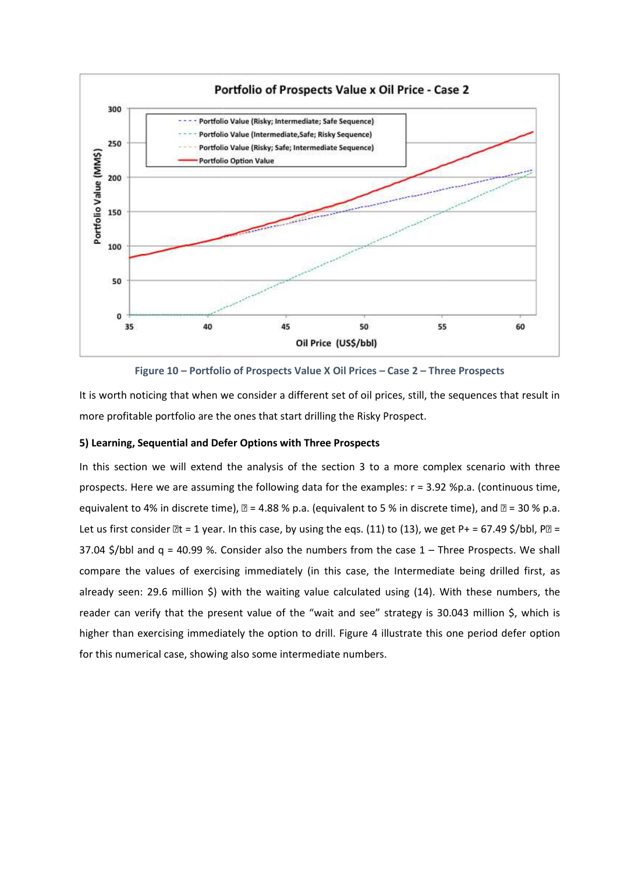

Figure 10 - Portfolio of Prospects Value X Oil Prices - Case 2 - Three Prospects

It is worth noticing that when we consider a different set of oil prices, still, the sequences that result in more profitable portfolio are the ones that start drilling the Risky Prospect.

#### **5) Learning, Sequential and Defer Options with Three Prospects**

In this section we will extend the analysis of the section 3 to a more complex scenario with three prospects. Here we are assuming the following data for the examples: r = 3.92 %p.a. (continuous time, equivalent to 4% in discrete time),  $\mathbb{Z}$  = 4.88 % p.a. (equivalent to 5 % in discrete time), and  $\mathbb{Z}$  = 30 % p.a. Let us first consider  $\mathbb{Z}t = 1$  year. In this case, by using the eqs. (11) to (13), we get P+ = 67.49 \$/bbl, P $\mathbb{Z}$  = Let us first consider  $\mathbb{R}$ t = 1 year. In this case, by using the eqs. (11) to (13), we get P+ = 67.49 \$/bbl, P $\mathbb{R}$  =<br>37.04 \$/bbl and q = 40.99 %. Consider also the numbers from the case 1 – Three Prospects. We shal compare the values of exercising immediately (in this case, the Intermediate being drilled first, as already seen: 29.6 million \$) with the waiting value calculated using (14). With these numbers, the reader can verify that the present value of the "wait and see" strategy is 30.043 million \$, which is higher than exercising immediately the option to drill. Figure 4 illustrate this one period defer option for this numerical case, showing also some intermediate numbers.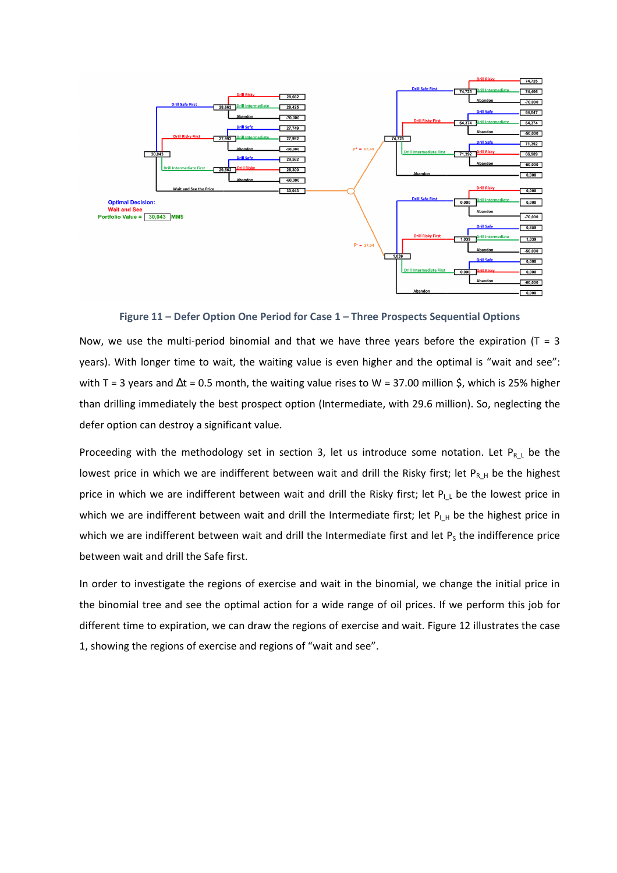

**Figure 11 – Defer Option One Period for Case 1 – Three Prospects Sequential Options**

Now, we use the multi-period binomial and that we have three years before the expiration  $(T = 3$ years). With longer time to wait, the waiting value is even higher and the optimal is "wait and see": with T = 3 years and  $\Delta t$  = 0.5 month, the waiting value rises to W = 37.00 million \$, which is 25 than drilling immediately the best prospect option (Intermediate, with 29.6 million). So, neglecting the defer option can destroy a significant value.

Proceeding with the methodology set in section 3, let us introduce some notation. Let  $P_{R_L}$  be the lowest price in which we are indifferent between wait and drill the Risky first; let  $P_{R,H}$  be the highest price in which we are indifferent between wait and drill the Risky first; let  $P_{l_L}$  be the lowest price in which we are indifferent between wait and drill the Intermediate first; let  $P_{L,H}$  be the highest price in which we are indifferent between wait and drill the Intermediate first and let  $P<sub>S</sub>$  the indifference price between wait and drill the Safe first. ith T = 3 years and  $\Delta t$  = 0.5 month, the waiting value rises to W = 37.00 million \$, which is 25% higher<br>nan drilling immediately the best prospect option (Intermediate, with 29.6 million). So, neglecting the<br>efer optio

In order to investigate the regions of exercise and wait in the binomial, we change the initial price in the binomial tree and see the optimal action for a wide range of oil prices. If we perform this job for different time to expiration, we can draw the regions of exercise and wait. Figure 12 illustrates the case 1, showing the regions of exercise and regions of "wait and see". o investigate the regions of exercise and wait in the binomial, we change the initial price in<br>hial tree and see the optimal action for a wide range of oil prices. If we perform this job for<br>time to expiration, we can draw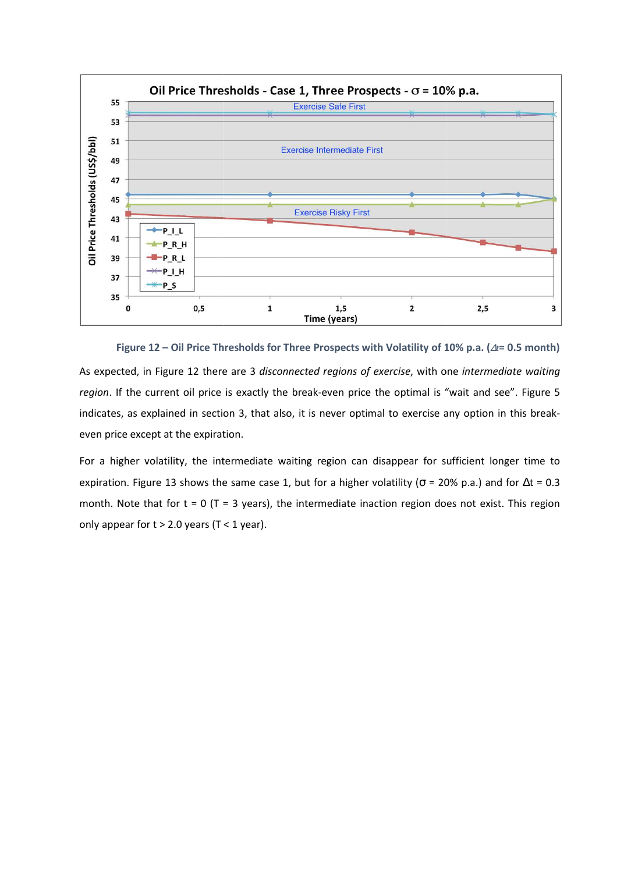

**Figure 12 – Oil Price Thresholds for Three Prospects with Volatility of 10% p.a. (** <sup>∆</sup>*t***= 0.5 month)** 

As expected, in Figure 12 there are 3 *disconnected regions of exercise*, with one *intermediate waiting*  region. If the current oil price is exactly the break-even price the optimal is "wait and see". Figure 5 indicates, as explained in section 3, that also, it is never optimal to exercise any option in this breakeven price except at the expiration.

For a higher volatility, the intermediate waiting region can disappear for sufficient longer time to expiration. Figure 13 shows the same case 1, but for a higher volatility ( $\sigma$  = 20% p.a.) and for  $\Delta t$  = 0.3 month. Note that for  $t = 0$  (T = 3 years), the intermediate inaction region does not exist. This region only appear for  $t > 2.0$  years (T < 1 year).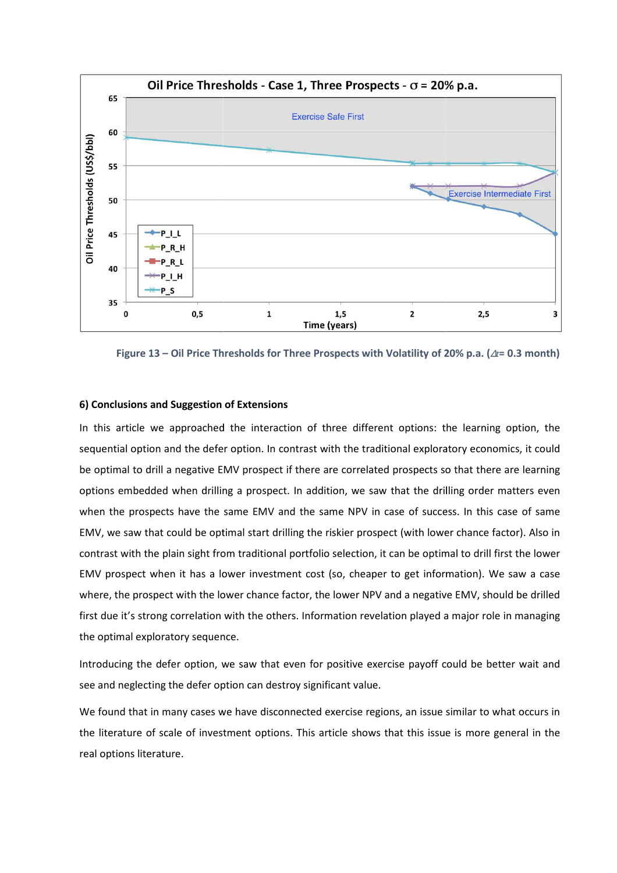

**Figure 13 – Oil Price Thresholds for Three Prospects with Volatility of 20 20% p.a. (**∆*t***= 0.3 month)** 

## **6) Conclusions and Suggestion of Extensions**

In this article we approached the interaction of three different options: the learning option, the sequential option and the defer option. In contrast with the traditional exploratory economics, it could be optimal to drill a negative EMV prospect if there are correlated prospects so that there are learning options embedded when drilling a prospect. In addition, we saw that the drilling order matters even when the prospects have the same EMV and the same NPV in case of success. In this case of same EMV, we saw that could be optimal start drilling the riskier prospect (with lower chance factor). Also in contrast with the plain sight from traditional portfolio selection, it can be optimal to drill first the lower EMV prospect when it has a lower investment cost (so, cheaper to get information). We saw a case where, the prospect with the lower chance factor, the lower NPV and a negative EMV, should be drilled where, the prospect with the lower chance factor, the lower NPV and a negative EMV, should be drilled<br>first due it's strong correlation with the others. Information revelation played a major role in managing the optimal exploratory sequence. e defer option. In contrast with the traditional exploratory economics, it could<br>ative EMV prospect if there are correlated prospects so that there are learning<br>n drilling a prospect. In addition, we saw that the drilling pect. In addition, we saw that the drilling order matters even<br>IV and the same NPV in case of success. In this case of same<br>t drilling the riskier prospect (with lower chance factor). Also in<br>onal portfolio selection, it c

Introducing the defer option, we saw that even for positive exercise payoff could be better wait and see and neglecting the defer option can destroy significant value.

We found that in many cases we have disconnected exercise regions, an issue similar to what occurs in the literature of scale of investment options. This article shows that this issue is more general in the real options literature.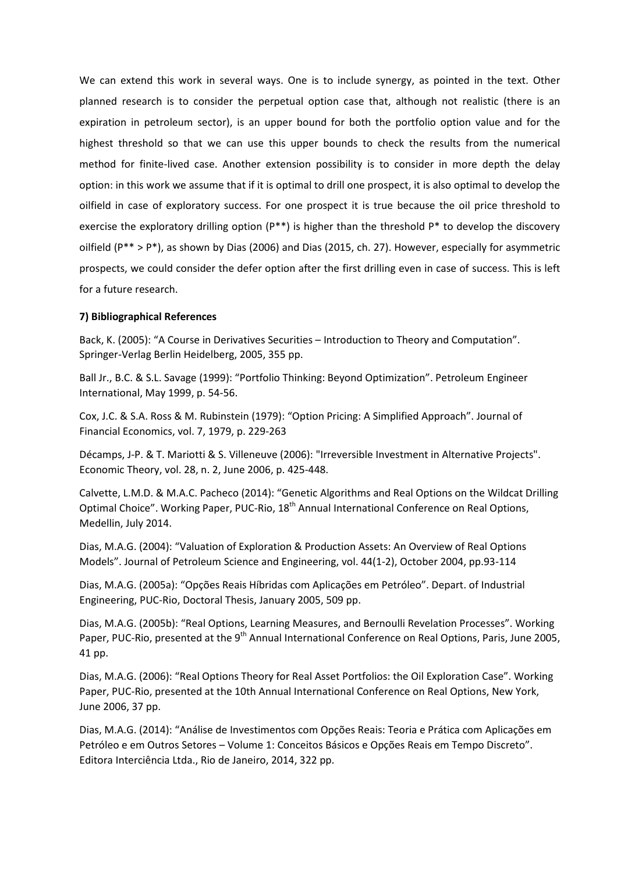We can extend this work in several ways. One is to include synergy, as pointed in the text. Other planned research is to consider the perpetual option case that, although not realistic (there is an expiration in petroleum sector), is an upper bound for both the portfolio option value and for the highest threshold so that we can use this upper bounds to check the results from the numerical method for finite-lived case. Another extension possibility is to consider in more depth the delay option: in this work we assume that if it is optimal to drill one prospect, it is also optimal to develop the oilfield in case of exploratory success. For one prospect it is true because the oil price threshold to exercise the exploratory drilling option (P\*\*) is higher than the threshold P\* to develop the discovery oilfield (P\*\* > P\*), as shown by Dias (2006) and Dias (2015, ch. 27). However, especially for asymmetric prospects, we could consider the defer option after the first drilling even in case of success. This is left for a future research.

# **7) Bibliographical References**

Back, K. (2005): "A Course in Derivatives Securities – Introduction to Theory and Computation". Springer-Verlag Berlin Heidelberg, 2005, 355 pp.

Ball Jr., B.C. & S.L. Savage (1999): "Portfolio Thinking: Beyond Optimization". Petroleum Engineer International, May 1999, p. 54-56.

Cox, J.C. & S.A. Ross & M. Rubinstein (1979): "Option Pricing: A Simplified Approach". Journal of Financial Economics, vol. 7, 1979, p. 229-263

Décamps, J-P. & T. Mariotti & S. Villeneuve (2006): "Irreversible Investment in Alternative Projects". Economic Theory, vol. 28, n. 2, June 2006, p. 425-448.

Calvette, L.M.D. & M.A.C. Pacheco (2014): "Genetic Algorithms and Real Options on the Wildcat Drilling Optimal Choice". Working Paper, PUC-Rio, 18<sup>th</sup> Annual International Conference on Real Options, Medellin, July 2014.

Dias, M.A.G. (2004): "Valuation of Exploration & Production Assets: An Overview of Real Options Models". Journal of Petroleum Science and Engineering, vol. 44(1-2), October 2004, pp.93-114

Dias, M.A.G. (2005a): "Opções Reais Híbridas com Aplicações em Petróleo". Depart. of Industrial Engineering, PUC-Rio, Doctoral Thesis, January 2005, 509 pp.

Dias, M.A.G. (2005b): "Real Options, Learning Measures, and Bernoulli Revelation Processes". Working Paper, PUC-Rio, presented at the 9<sup>th</sup> Annual International Conference on Real Options, Paris, June 2005, 41 pp.

Dias, M.A.G. (2006): "Real Options Theory for Real Asset Portfolios: the Oil Exploration Case". Working Paper, PUC-Rio, presented at the 10th Annual International Conference on Real Options, New York, June 2006, 37 pp.

Dias, M.A.G. (2014): "Análise de Investimentos com Opções Reais: Teoria e Prática com Aplicações em Petróleo e em Outros Setores – Volume 1: Conceitos Básicos e Opções Reais em Tempo Discreto". Editora Interciência Ltda., Rio de Janeiro, 2014, 322 pp.